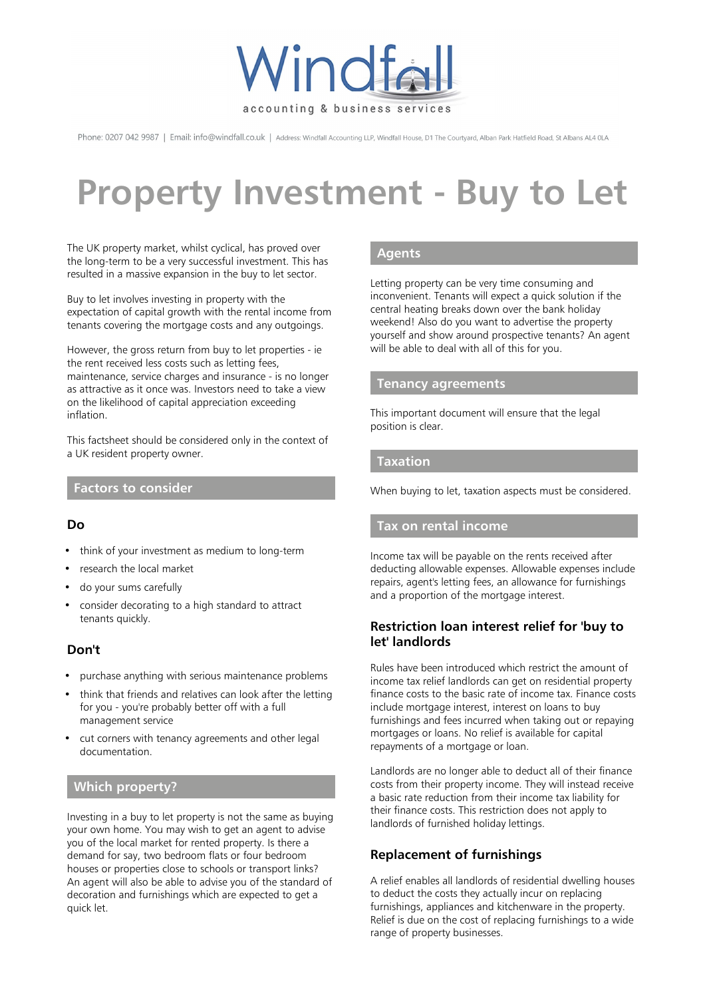

Phone: 0207 042 9987 | Email: info@windfall.co.uk | Address: Windfall Accounting LLP, Windfall House, D1 The Courtyard, Alban Park Hatfield Road, St Albans AL4 0LA

# **Property Investment - Buy to Let**

The UK property market, whilst cyclical, has proved over the long-term to be a very successful investment. This has resulted in a massive expansion in the buy to let sector.

Buy to let involves investing in property with the expectation of capital growth with the rental income from tenants covering the mortgage costs and any outgoings.

However, the gross return from buy to let properties - ie the rent received less costs such as letting fees, maintenance, service charges and insurance - is no longer as attractive as it once was. Investors need to take a view on the likelihood of capital appreciation exceeding inflation.

This factsheet should be considered only in the context of a UK resident property owner.

## **Factors to consider**

## **Do**

- think of your investment as medium to long-term
- research the local market
- do your sums carefully
- consider decorating to a high standard to attract tenants quickly.

## **Don't**

- purchase anything with serious maintenance problems
- think that friends and relatives can look after the letting for you - you're probably better off with a full management service
- cut corners with tenancy agreements and other legal documentation.

## **Which property?**

Investing in a buy to let property is not the same as buying your own home. You may wish to get an agent to advise you of the local market for rented property. Is there a demand for say, two bedroom flats or four bedroom houses or properties close to schools or transport links? An agent will also be able to advise you of the standard of decoration and furnishings which are expected to get a quick let.

## **Agents**

Letting property can be very time consuming and inconvenient. Tenants will expect a quick solution if the central heating breaks down over the bank holiday weekend! Also do you want to advertise the property yourself and show around prospective tenants? An agent will be able to deal with all of this for you.

## **Tenancy agreements**

This important document will ensure that the legal position is clear.

#### **Taxation**

When buying to let, taxation aspects must be considered.

#### **Tax on rental income**

Income tax will be payable on the rents received after deducting allowable expenses. Allowable expenses include repairs, agent's letting fees, an allowance for furnishings and a proportion of the mortgage interest.

## **Restriction loan interest relief for 'buy to let' landlords**

Rules have been introduced which restrict the amount of income tax relief landlords can get on residential property finance costs to the basic rate of income tax. Finance costs include mortgage interest, interest on loans to buy furnishings and fees incurred when taking out or repaying mortgages or loans. No relief is available for capital repayments of a mortgage or loan.

Landlords are no longer able to deduct all of their finance costs from their property income. They will instead receive a basic rate reduction from their income tax liability for their finance costs. This restriction does not apply to landlords of furnished holiday lettings.

## **Replacement of furnishings**

A relief enables all landlords of residential dwelling houses to deduct the costs they actually incur on replacing furnishings, appliances and kitchenware in the property. Relief is due on the cost of replacing furnishings to a wide range of property businesses.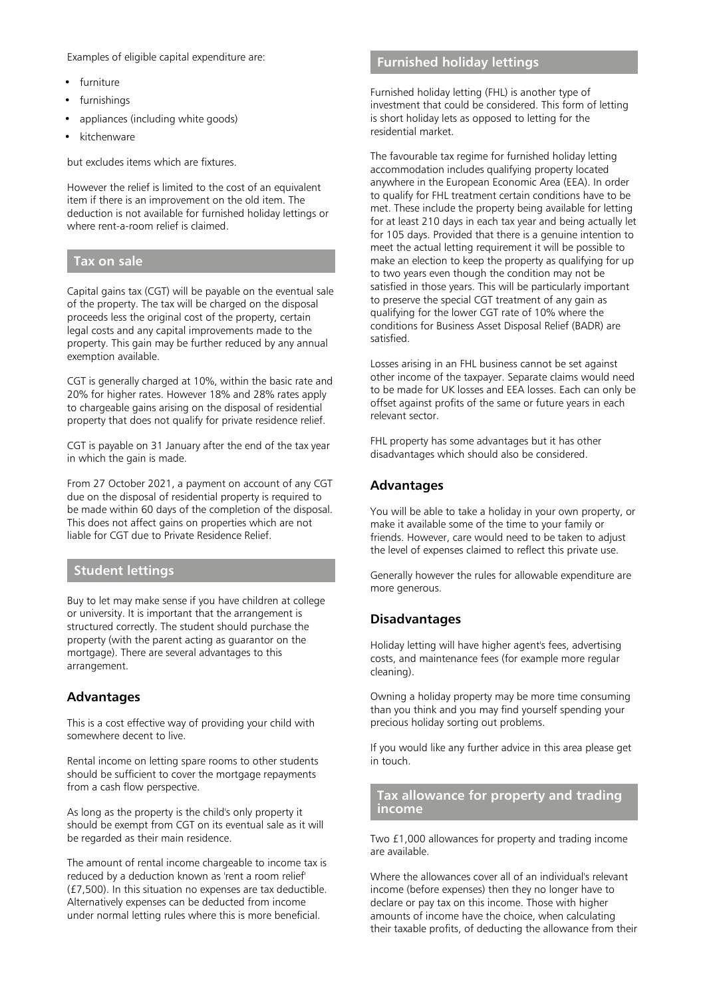Examples of eligible capital expenditure are:

- furniture
- furnishings
- appliances (including white goods)
- kitchenware

but excludes items which are fixtures.

However the relief is limited to the cost of an equivalent item if there is an improvement on the old item. The deduction is not available for furnished holiday lettings or where rent-a-room relief is claimed.

## **Tax on sale**

Capital gains tax (CGT) will be payable on the eventual sale of the property. The tax will be charged on the disposal proceeds less the original cost of the property, certain legal costs and any capital improvements made to the property. This gain may be further reduced by any annual exemption available.

CGT is generally charged at 10%, within the basic rate and 20% for higher rates. However 18% and 28% rates apply to chargeable gains arising on the disposal of residential property that does not qualify for private residence relief.

CGT is payable on 31 January after the end of the tax year in which the gain is made.

From 27 October 2021, a payment on account of any CGT due on the disposal of residential property is required to be made within 60 days of the completion of the disposal. This does not affect gains on properties which are not liable for CGT due to Private Residence Relief.

## **Student lettings**

Buy to let may make sense if you have children at college or university. It is important that the arrangement is structured correctly. The student should purchase the property (with the parent acting as guarantor on the mortgage). There are several advantages to this arrangement.

#### **Advantages**

This is a cost effective way of providing your child with somewhere decent to live.

Rental income on letting spare rooms to other students should be sufficient to cover the mortgage repayments from a cash flow perspective.

As long as the property is the child's only property it should be exempt from CGT on its eventual sale as it will be regarded as their main residence.

The amount of rental income chargeable to income tax is reduced by a deduction known as 'rent a room relief' (£7,500). In this situation no expenses are tax deductible. Alternatively expenses can be deducted from income under normal letting rules where this is more beneficial.

## **Furnished holiday lettings**

Furnished holiday letting (FHL) is another type of investment that could be considered. This form of letting is short holiday lets as opposed to letting for the residential market.

The favourable tax regime for furnished holiday letting accommodation includes qualifying property located anywhere in the European Economic Area (EEA). In order to qualify for FHL treatment certain conditions have to be met. These include the property being available for letting for at least 210 days in each tax year and being actually let for 105 days. Provided that there is a genuine intention to meet the actual letting requirement it will be possible to make an election to keep the property as qualifying for up to two years even though the condition may not be satisfied in those years. This will be particularly important to preserve the special CGT treatment of any gain as qualifying for the lower CGT rate of 10% where the conditions for Business Asset Disposal Relief (BADR) are satisfied.

Losses arising in an FHL business cannot be set against other income of the taxpayer. Separate claims would need to be made for UK losses and EEA losses. Each can only be offset against profits of the same or future years in each relevant sector.

FHL property has some advantages but it has other disadvantages which should also be considered.

## **Advantages**

You will be able to take a holiday in your own property, or make it available some of the time to your family or friends. However, care would need to be taken to adjust the level of expenses claimed to reflect this private use.

Generally however the rules for allowable expenditure are more generous.

#### **Disadvantages**

Holiday letting will have higher agent's fees, advertising costs, and maintenance fees (for example more regular cleaning).

Owning a holiday property may be more time consuming than you think and you may find yourself spending your precious holiday sorting out problems.

If you would like any further advice in this area please get in touch.

## **Tax allowance for property and trading income**

Two £1,000 allowances for property and trading income are available.

Where the allowances cover all of an individual's relevant income (before expenses) then they no longer have to declare or pay tax on this income. Those with higher amounts of income have the choice, when calculating their taxable profits, of deducting the allowance from their